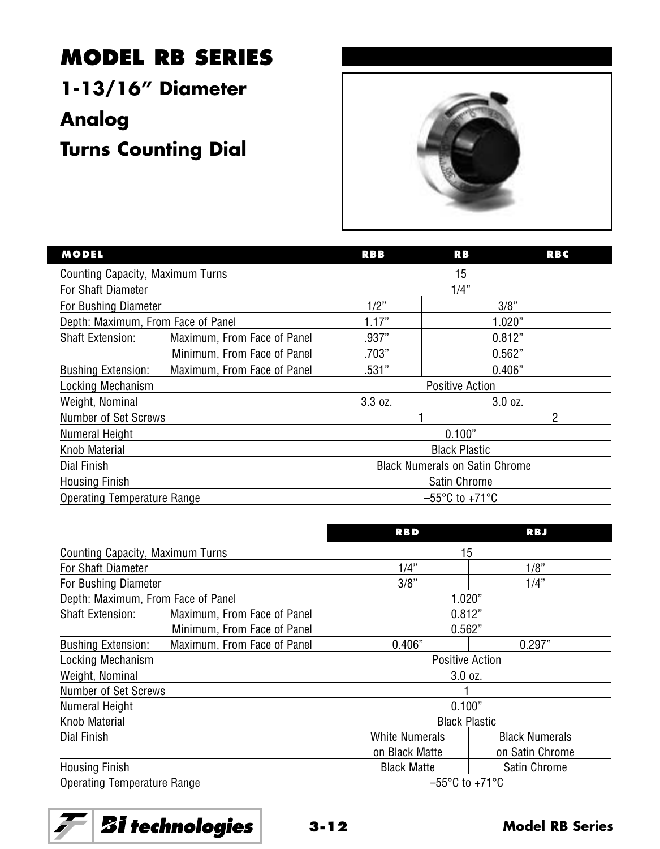## **MODEL RB SERIES**

**1-13/16" Diameter**

**Analog**

**Turns Counting Dial**



| <b>MODEL</b>                       |                             | <b>RBB</b>                            | RB      | <b>RBC</b> |
|------------------------------------|-----------------------------|---------------------------------------|---------|------------|
| Counting Capacity, Maximum Turns   |                             | 15                                    |         |            |
| For Shaft Diameter                 |                             | 1/4"                                  |         |            |
| For Bushing Diameter               |                             | 1/2"                                  | 3/8"    |            |
| Depth: Maximum, From Face of Panel |                             | 1.17"                                 | 1.020"  |            |
| <b>Shaft Extension:</b>            | Maximum, From Face of Panel | .937"                                 | 0.812"  |            |
|                                    | Minimum, From Face of Panel | .703"                                 | 0.562"  |            |
| <b>Bushing Extension:</b>          | Maximum, From Face of Panel | .531"                                 | 0.406"  |            |
| Locking Mechanism                  |                             | <b>Positive Action</b>                |         |            |
| Weight, Nominal                    |                             | 3.3 oz.                               | 3.0 oz. |            |
| Number of Set Screws               |                             | 2                                     |         |            |
| Numeral Height                     |                             | 0.100"                                |         |            |
| Knob Material                      |                             | <b>Black Plastic</b>                  |         |            |
| Dial Finish                        |                             | <b>Black Numerals on Satin Chrome</b> |         |            |
| <b>Housing Finish</b>              |                             | Satin Chrome                          |         |            |
| Operating Temperature Range        |                             | $-55^{\circ}$ C to +71 $^{\circ}$ C   |         |            |

|                                    |                             | <b>RBD</b>                          | <b>RBJ</b>            |  |
|------------------------------------|-----------------------------|-------------------------------------|-----------------------|--|
| Counting Capacity, Maximum Turns   |                             | 15                                  |                       |  |
| For Shaft Diameter                 |                             | 1/4"                                | 1/8"                  |  |
| For Bushing Diameter               |                             | 3/8"                                | 1/4"                  |  |
| Depth: Maximum, From Face of Panel |                             | 1.020"                              |                       |  |
| <b>Shaft Extension:</b>            | Maximum, From Face of Panel | 0.812"                              |                       |  |
|                                    | Minimum, From Face of Panel | 0.562"                              |                       |  |
| <b>Bushing Extension:</b>          | Maximum, From Face of Panel | 0.406"                              | 0.297"                |  |
| Locking Mechanism                  |                             | <b>Positive Action</b>              |                       |  |
| Weight, Nominal                    |                             | 3.0 oz.                             |                       |  |
| Number of Set Screws               |                             |                                     |                       |  |
| Numeral Height                     |                             | 0.100"                              |                       |  |
| Knob Material                      |                             | <b>Black Plastic</b>                |                       |  |
| Dial Finish                        |                             | <b>White Numerals</b>               | <b>Black Numerals</b> |  |
|                                    |                             | on Black Matte                      | on Satin Chrome       |  |
| <b>Housing Finish</b>              |                             | <b>Black Matte</b>                  | <b>Satin Chrome</b>   |  |
| Operating Temperature Range        |                             | $-55^{\circ}$ C to +71 $^{\circ}$ C |                       |  |